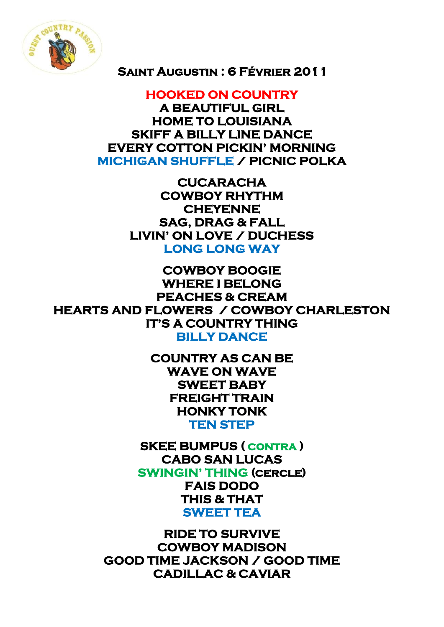

## **Saint Augustin : 6 Février 2011**

**HOOKED ON COUNTRY A BEAUTIFUL GIRL HOME TO LOUISIANA SKIFF A BILLY LINE DANCE EVERY COTTON PICKIN' MORNING MICHIGAN SHUFFLE / PICNIC POLKA** 

> **CUCARACHA COWBOY RHYTHM CHEYENNE SAG, DRAG & FALL LIVIN' ON LOVE / DUCHESS LONG LONG WAY**

**COWBOY BOOGIE WHERE I BELONG PEACHES & CREAM HEARTS AND FLOWERS / COWBOY CHARLESTON IT'S A COUNTRY THING BILLY DANCE** 

> **COUNTRY AS CAN BE WAVE ON WAVE SWEET BABY FREIGHT TRAIN HONKY TONK TEN STEP**

**SKEE BUMPUS ( contra ) CABO SAN LUCAS SWINGIN' THING (cercle) FAIS DODO THIS & THAT SWEET TEA** 

**RIDE TO SURVIVE COWBOY MADISON GOOD TIME JACKSON / GOOD TIME CADILLAC & CAVIAR**